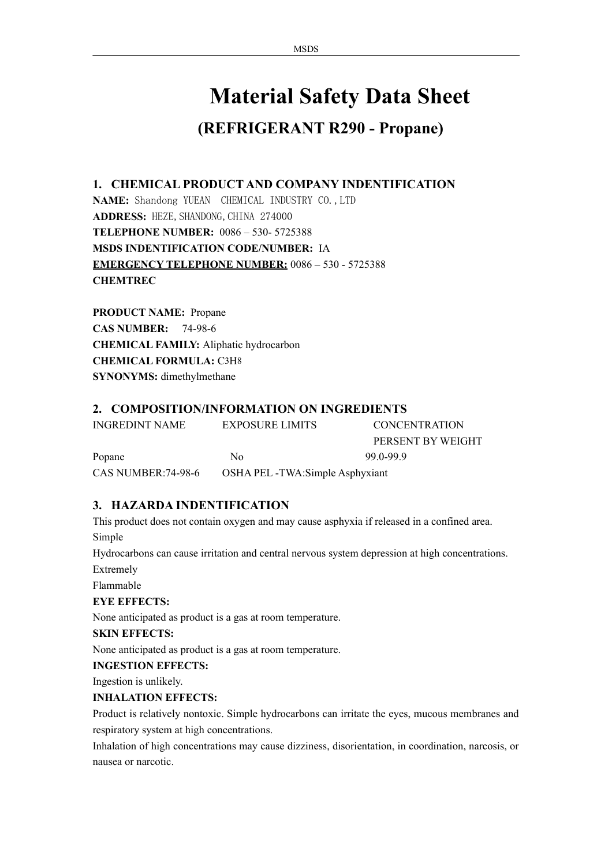# **Material Safety Data Sheet**

 **(REFRIGERANT R290 - Propane)**

# **1. CHEMICAL PRODUCT AND COMPANY INDENTIFICATION**

**NAME:** Shandong YUEAN CHEMICAL INDUSTRY CO.,LTD ADDRESS: HEZE, SHANDONG, CHINA 274000 **TELEPHONE NUMBER:** 0086 – 530- 5725388 **MSDS INDENTIFICATION CODE/NUMBER:** IA **EMERGENCY TELEPHONE NUMBER:** 0086 – 530 - 5725388 **CHEMTREC** 

**PRODUCT NAME:** Propane **CAS NUMBER:** 74-98-6 **CHEMICAL FAMILY:** Aliphatic hydrocarbon **CHEMICAL FORMULA:** C3H8 **SYNONYMS:** dimethylmethane

# **2. COMPOSITION/INFORMATION ON INGREDIENTS**

| <b>INGREDINT NAME</b> | EXPOSURE LIMITS                  | <b>CONCENTRATION</b> |
|-----------------------|----------------------------------|----------------------|
|                       |                                  | PERSENT BY WEIGHT    |
| Popane                | N <sub>0</sub>                   | 99.0-99.9            |
| CAS NUMBER: 74-98-6   | OSHA PEL -TWA: Simple Asphyxiant |                      |

**3. HAZARDA INDENTIFICATION** This product does not contain oxygen and may cause asphyxia if released in a confined area.

Simple

Hydrocarbons can cause irritation and central nervous system depression at high concentrations.

Extremely

Flammable

# **EYE EFFECTS:**

None anticipated as product is a gas at room temperature.

# **SKIN EFFECTS:**

None anticipated as product is a gas at room temperature.

**INGESTION EFFECTS:**

Ingestion is unlikely.

# **INHALATION EFFECTS:**

Product is relatively nontoxic. Simple hydrocarbons can irritate the eyes, mucous membranes and respiratory system at high concentrations.

Inhalation of high concentrations may cause dizziness, disorientation, in coordination, narcosis, or nausea or narcotic.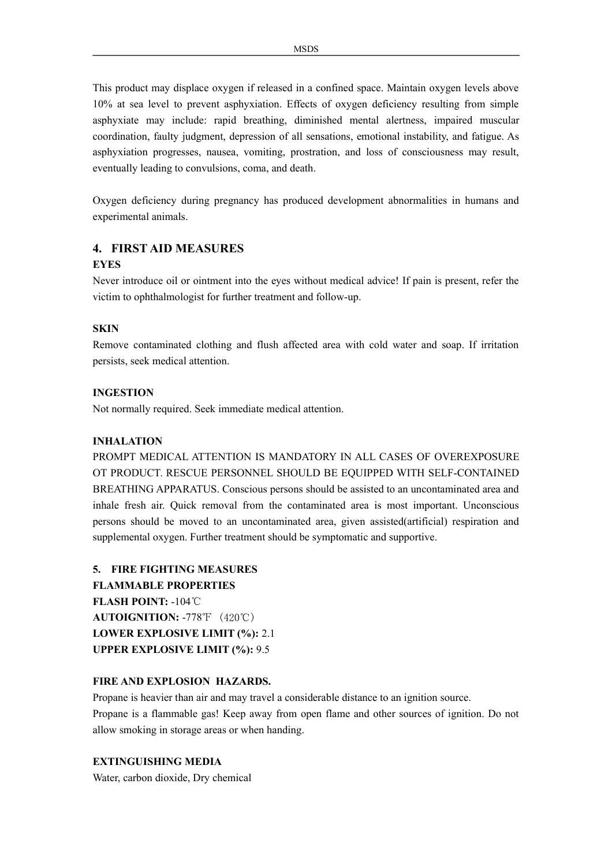This product may displace oxygen if released in a confined space. Maintain oxygen levels above 10% at sea level to prevent asphyxiation. Effects of oxygen deficiency resulting from simple asphyxiate may include: rapid breathing, diminished mental alertness, impaired muscular coordination, faulty judgment, depression of all sensations, emotional instability, and fatigue. As asphyxiation progresses, nausea, vomiting, prostration, and loss of consciousness may result, eventually leading to convulsions, coma, and death.

Oxygen deficiency during pregnancy has produced development abnormalities in humans and experimental animals.

# **4. FIRST AID MEASURES**

# **EYES**

Never introduce oil or ointment into the eyes without medical advice! If pain is present, refer the victim to ophthalmologist for further treatment and follow-up.

#### **SKIN**

Remove contaminated clothing and flush affected area with cold water and soap. If irritation persists, seek medical attention.

#### **INGESTION**

Not normally required. Seek immediate medical attention.

#### **INHALATION**

PROMPT MEDICAL ATTENTION IS MANDATORY IN ALL CASES OF OVEREXPOSURE OT PRODUCT. RESCUE PERSONNEL SHOULD BE EQUIPPED WITH SELF-CONTAINED BREATHING APPARATUS. Conscious persons should be assisted to an uncontaminated area and inhale fresh air. Quick removal from the contaminated area is most important. Unconscious persons should be moved to an uncontaminated area, given assisted(artificial) respiration and supplemental oxygen. Further treatment should be symptomatic and supportive.

**5. FIRE FIGHTING MEASURES FLAMMABLE PROPERTIES FLASH POINT:** -104℃ **AUTOIGNITION:** -778℉ (420℃) **LOWER EXPLOSIVE LIMIT (%):** 2.1 **UPPER EXPLOSIVE LIMIT (%):** 9.5

#### **FIRE AND EXPLOSION HAZARDS.**

Propane is heavier than air and may travel a considerable distance to an ignition source. Propane is a flammable gas! Keep away from open flame and other sources of ignition. Do not allow smoking in storage areas or when handing.

# **EXTINGUISHING MEDIA**

Water, carbon dioxide, Dry chemical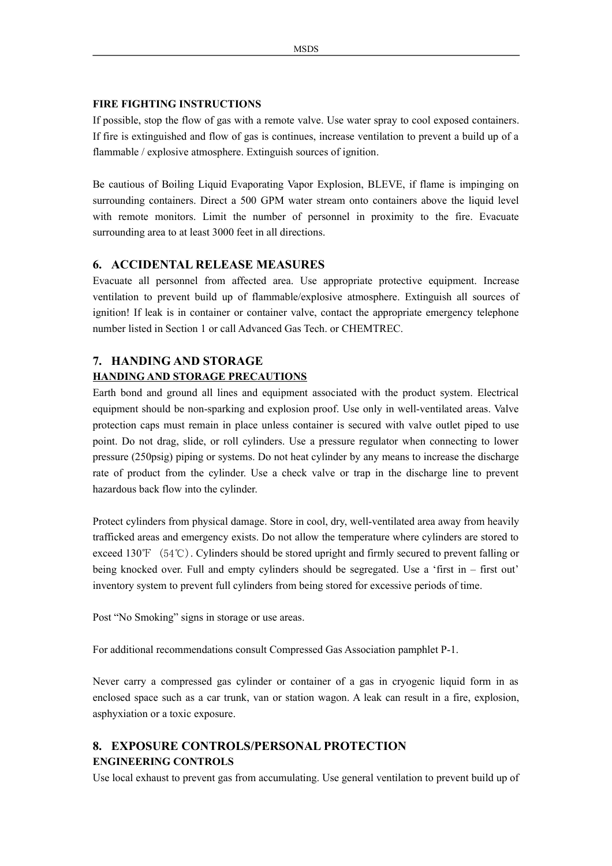#### **FIRE FIGHTING INSTRUCTIONS**

If possible, stop the flow of gas with a remote valve. Use water spray to cool exposed containers. If fire is extinguished and flow of gas is continues, increase ventilation to prevent a build up of a flammable / explosive atmosphere. Extinguish sources of ignition.

Be cautious of Boiling Liquid Evaporating Vapor Explosion, BLEVE, if flame is impinging on surrounding containers. Direct a 500 GPM water stream onto containers above the liquid level with remote monitors. Limit the number of personnel in proximity to the fire. Evacuate surrounding area to at least 3000 feet in all directions.

# **6. ACCIDENTAL RELEASE MEASURES**

Evacuate all personnel from affected area. Use appropriate protective equipment. Increase ventilation to prevent build up of flammable/explosive atmosphere. Extinguish all sources of ignition! If leak is in container or container valve, contact the appropriate emergency telephone number listed in Section 1 or call Advanced Gas Tech. or CHEMTREC.

# **7. HANDING AND STORAGE**

### **HANDING AND STORAGE PRECAUTIONS**

Earth bond and ground all lines and equipment associated with the product system. Electrical equipment should be non-sparking and explosion proof. Use only in well-ventilated areas. Valve protection caps must remain in place unless container is secured with valve outlet piped to use point. Do not drag, slide, or roll cylinders. Use a pressure regulator when connecting to lower pressure (250psig) piping or systems. Do not heat cylinder by any means to increase the discharge rate of product from the cylinder. Use a check valve or trap in the discharge line to prevent hazardous back flow into the cylinder.

Protect cylinders from physical damage. Store in cool, dry, well-ventilated area away from heavily trafficked areas and emergency exists. Do not allow the temperature where cylinders are stored to exceed 130℉ (54℃). Cylinders should be stored upright and firmly secured to prevent falling or being knocked over. Full and empty cylinders should be segregated. Use a 'first in – first out' inventory system to prevent full cylinders from being stored for excessive periods of time.

Post "No Smoking" signs in storage or use areas.

For additional recommendations consult Compressed Gas Association pamphlet P-1.

Never carry a compressed gas cylinder or container of a gas in cryogenic liquid form in as enclosed space such as a car trunk, van or station wagon. A leak can result in a fire, explosion, asphyxiation or a toxic exposure.

# **8. EXPOSURE CONTROLS/PERSONAL PROTECTION ENGINEERING CONTROLS**

Use local exhaust to prevent gas from accumulating. Use general ventilation to prevent build up of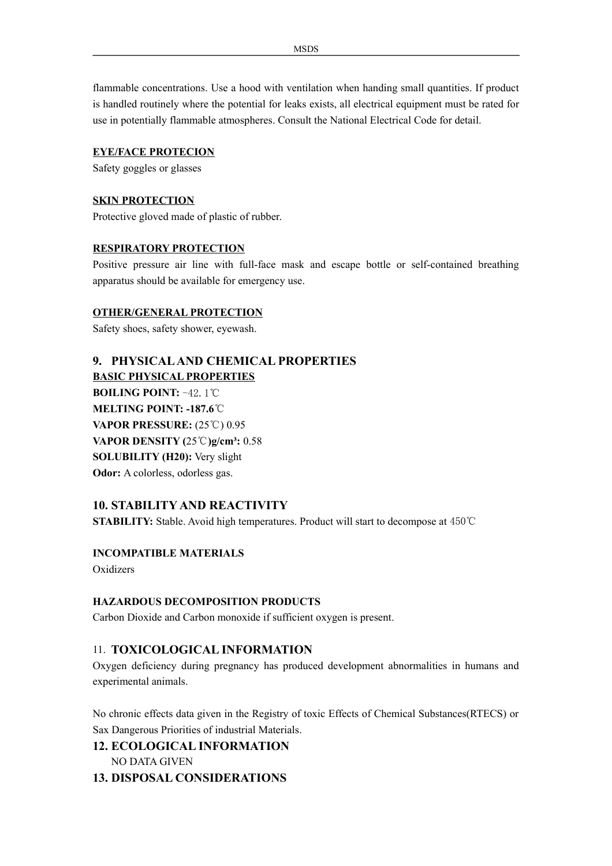flammable concentrations. Use a hood with ventilation when handing small quantities. If product is handled routinely where the potential for leaks exists, all electrical equipment must be rated for use in potentially flammable atmospheres. Consult the National Electrical Code for detail.

# **EYE/FACE PROTECION**

Safety goggles or glasses

#### **SKIN PROTECTION**

Protective gloved made of plastic of rubber.

#### **RESPIRATORY PROTECTION**

Positive pressure air line with full-face mask and escape bottle or self-contained breathing apparatus should be available for emergency use.

# **OTHER/GENERAL PROTECTION**

Safety shoes, safety shower, eyewash.

# **9. PHYSICAL AND CHEMICAL PROPERTIES**

**BASIC PHYSICAL PROPERTIES BOILING POINT:** -42.1℃ **MELTING POINT: -187.6**℃ **VAPOR PRESSURE:** (25℃) 0.95 **VAPOR DENSITY (**25℃**)g/cm³:** 0.58 **SOLUBILITY (H20):** Very slight **Odor:** A colorless, odorless gas.

### **10. STABILITY AND REACTIVITY**

**STABILITY:** Stable. Avoid high temperatures. Product will start to decompose at 450℃

# **INCOMPATIBLE MATERIALS**

**Oxidizers** 

# **HAZARDOUS DECOMPOSITION PRODUCTS**

Carbon Dioxide and Carbon monoxide if sufficient oxygen is present.

### 11. **TOXICOLOGICAL INFORMATION**

Oxygen deficiency during pregnancy has produced development abnormalities in humans and experimental animals.

No chronic effects data given in the Registry of toxic Effects of Chemical Substances(RTECS) or Sax Dangerous Priorities of industrial Materials.

# **12. ECOLOGICAL INFORMATION** NO DATA GIVEN

**13. DISPOSAL CONSIDERATIONS**